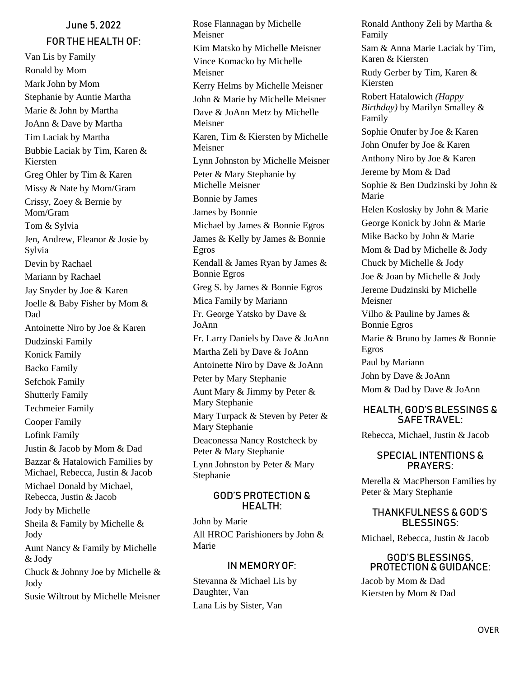# June 5, 2022 FOR THE HEALTH OF:

Van Lis by Family Ronald by Mom Mark John by Mom Stephanie by Auntie Martha Marie & John by Martha JoAnn & Dave by Martha Tim Laciak by Martha Bubbie Laciak by Tim, Karen & Kiersten Greg Ohler by Tim & Karen Missy & Nate by Mom/Gram Crissy, Zoey & Bernie by Mom/Gram Tom & Sylvia Jen, Andrew, Eleanor & Josie by Sylvia Devin by Rachael Mariann by Rachael Jay Snyder by Joe & Karen Joelle & Baby Fisher by Mom & Dad Antoinette Niro by Joe & Karen Dudzinski Family Konick Family Backo Family Sefchok Family Shutterly Family Techmeier Family Cooper Family Lofink Family Justin & Jacob by Mom & Dad Bazzar & Hatalowich Families by Michael, Rebecca, Justin & Jacob Michael Donald by Michael, Rebecca, Justin & Jacob Jody by Michelle Sheila & Family by Michelle & Jody Aunt Nancy & Family by Michelle & Jody Chuck & Johnny Joe by Michelle & Jody

Susie Wiltrout by Michelle Meisner

Rose Flannagan by Michelle Meisner Kim Matsko by Michelle Meisner Vince Komacko by Michelle Meisner Kerry Helms by Michelle Meisner John & Marie by Michelle Meisner Dave & JoAnn Metz by Michelle Meisner Karen, Tim & Kiersten by Michelle Meisner Lynn Johnston by Michelle Meisner Peter & Mary Stephanie by Michelle Meisner Bonnie by James James by Bonnie Michael by James & Bonnie Egros James & Kelly by James & Bonnie Egros Kendall & James Ryan by James & Bonnie Egros Greg S. by James & Bonnie Egros Mica Family by Mariann Fr. George Yatsko by Dave & JoAnn Fr. Larry Daniels by Dave & JoAnn Martha Zeli by Dave & JoAnn Antoinette Niro by Dave & JoAnn Peter by Mary Stephanie Aunt Mary & Jimmy by Peter & Mary Stephanie Mary Turpack & Steven by Peter & Mary Stephanie Deaconessa Nancy Rostcheck by Peter & Mary Stephanie Lynn Johnston by Peter & Mary Stephanie

#### GOD'S PROTECTION & HEALTH:

John by Marie All HROC Parishioners by John & Marie

## IN MEMORY OF:

Stevanna & Michael Lis by Daughter, Van Lana Lis by Sister, Van

Ronald Anthony Zeli by Martha & Family Sam & Anna Marie Laciak by Tim, Karen & Kiersten Rudy Gerber by Tim, Karen & Kiersten Robert Hatalowich *(Happy Birthday)* by Marilyn Smalley & Family Sophie Onufer by Joe & Karen John Onufer by Joe & Karen Anthony Niro by Joe & Karen Jereme by Mom & Dad Sophie & Ben Dudzinski by John & Marie Helen Koslosky by John & Marie George Konick by John & Marie Mike Backo by John & Marie Mom & Dad by Michelle & Jody Chuck by Michelle & Jody Joe & Joan by Michelle & Jody Jereme Dudzinski by Michelle Meisner Vilho & Pauline by James & Bonnie Egros Marie & Bruno by James & Bonnie Egros Paul by Mariann John by Dave & JoAnn

# Mom & Dad by Dave & JoAnn

#### HEALTH, GOD'S BLESSINGS & SAFE TRAVEL:

Rebecca, Michael, Justin & Jacob

## SPECIAL INTENTIONS & PRAYERS:

Merella & MacPherson Families by Peter & Mary Stephanie

## THANKFULNESS & GOD'S BLESSINGS:

Michael, Rebecca, Justin & Jacob

#### GOD'S BLESSINGS, PROTECTION & GUIDANCE:

Jacob by Mom & Dad Kiersten by Mom & Dad